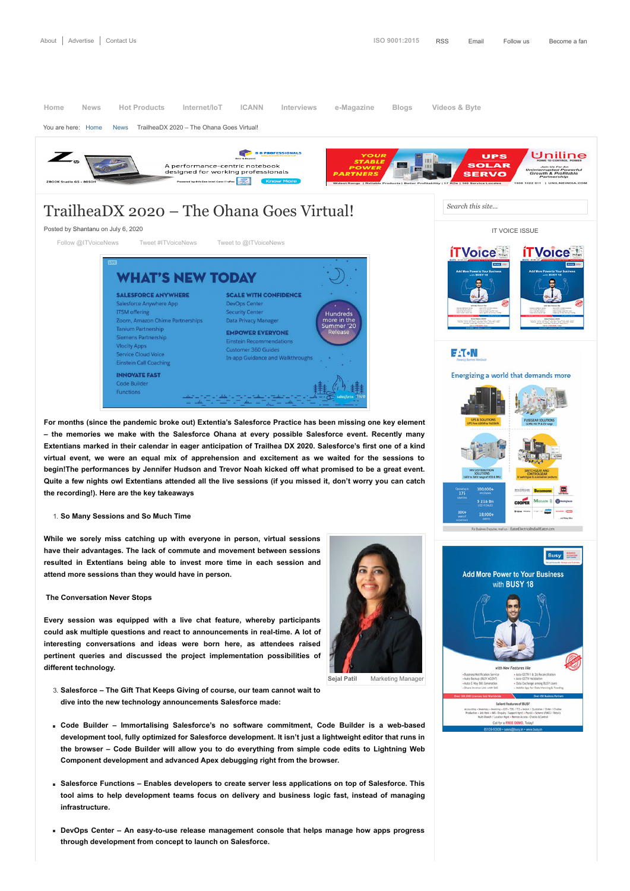## TrailheaDX 2020 – The Ohana Goes Virtual!

Posted by [Shantanu](https://www.itvoice.in/author/shantanu) on July 6, 2020

[Follow @ITVoiceNews](https://twitter.com/intent/follow?original_referer=https%3A%2F%2Fwww.itvoice.in%2Ftrailheadx-2020-the-ohana-goes-virtual&ref_src=twsrc%5Etfw®ion=follow_link&screen_name=ITVoiceNews&tw_p=followbutton) [Tweet #ITVoiceNews](https://twitter.com/intent/tweet?hashtags=ITVoiceNews%2C&original_referer=https%3A%2F%2Fwww.itvoice.in%2Ftrailheadx-2020-the-ohana-goes-virtual&ref_src=twsrc%5Etfw&text=TrailheaDX%202020%20%E2%80%93%20The%20Ohana%20Goes%20Virtual!&tw_p=tweetbutton&url=https%3A%2F%2Fwww.itvoice.in%2Ftrailheadx-2020-the-ohana-goes-virtual) [Tweet to @ITVoiceNews](https://twitter.com/intent/tweet?original_referer=https%3A%2F%2Fwww.itvoice.in%2Ftrailheadx-2020-the-ohana-goes-virtual&ref_src=twsrc%5Etfw&screen_name=ITVoiceNews&text=TrailheaDX%202020%20%E2%80%93%20The%20Ohana%20Goes%20Virtual!&tw_p=tweetbutton)



**For months (since the pandemic broke out) Extentia's Salesforce Practice has been missing one key element – the memories we make with the Salesforce Ohana at every possible Salesforce event. Recently many Extentians marked in their calendar in eager anticipation of Trailhea DX 2020. Salesforce's first one of a kind virtual event, we were an equal mix of apprehension and excitement as we waited for the sessions to begin!The performances by Jennifer Hudson and Trevor Noah kicked off what promised to be a great event. Quite a few nights owl Extentians attended all the live sessions (if you missed it, don't worry you can catch the recording!). Here are the key takeaways**

1. **So Many Sessions and So Much Time**

**While we sorely miss catching up with everyone in person, virtual sessions have their advantages. The lack of commute and movement between sessions resulted in Extentians being able to invest more time in each session and attend more sessions than they would have in person.**

## **The Conversation Never Stops**

**Every session was equipped with a live chat feature, whereby participants could ask multiple questions and react to announcements in real-time. A lot of interesting conversations and ideas were born here, as attendees raised pertinent queries and discussed the project implementation possibilities of different technology.**



**Sejal Patil** [Marketing Manager](https://www.itvoice.in/wp-content/uploads/2020/07/Sejal-Patil-1.jpg)

- 3. **Salesforce The Gift That Keeps Giving of course, our team cannot wait to dive into the new technology announcements Salesforce made:**
- **Code Builder Immortalising Salesforce's no software commitment, Code Builder is a web-based development tool, fully optimized for Salesforce development. It isn't just a lightweight editor that runs in the browser – Code Builder will allow you to do everything from simple code edits to Lightning Web Component development and advanced Apex debugging right from the browser.**
- **Salesforce Functions Enables developers to create server less applications on top of Salesforce. This tool aims to help development teams focus on delivery and business logic fast, instead of managing infrastructure.**
- **DevOps Center An easy-to-use release management console that helps manage how apps progress through development from concept to launch on Salesforce.**